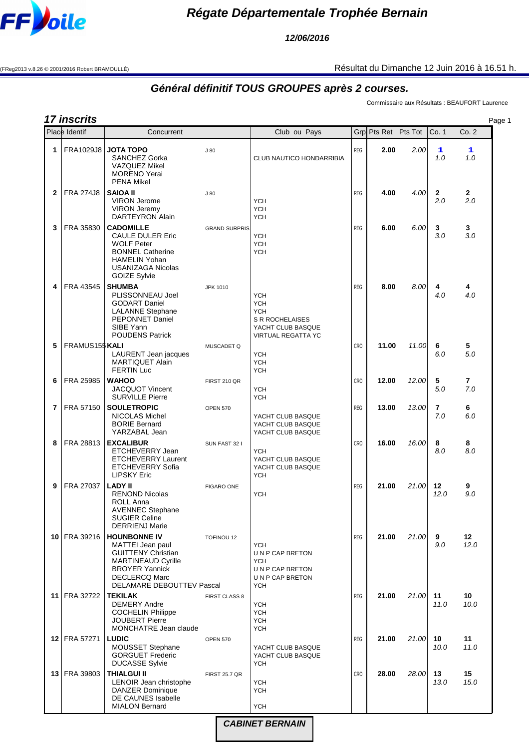

**12/06/2016**

(FReg2013 v.8.26 © 2001/2016 Robert BRAMOULLÉ) Résultat du Dimanche 12 Juin 2016 à 16.51 h.

## **Général définitif TOUS GROUPES après 2 courses.**

Commissaire aux Résultats : BEAUFORT Laurence

|              | 17 inscrits           |                                                                                                                                                                                        |                      |                                                                                                                    |            |             |         |                       |            | Page 1 |
|--------------|-----------------------|----------------------------------------------------------------------------------------------------------------------------------------------------------------------------------------|----------------------|--------------------------------------------------------------------------------------------------------------------|------------|-------------|---------|-----------------------|------------|--------|
|              | Place Identif         | Concurrent                                                                                                                                                                             |                      | Club ou Pays                                                                                                       |            | Grp Pts Ret | Pts Tot | Co. 1                 | Co.2       |        |
| 1            | FRA1029J8             | <b>JOTA TOPO</b><br><b>SANCHEZ Gorka</b><br><b>VAZQUEZ Mikel</b><br><b>MORENO</b> Yerai<br><b>PENA Mikel</b>                                                                           | J80                  | CLUB NAUTICO HONDARRIBIA                                                                                           | <b>REG</b> | 2.00        | 2.00    | 1<br>1.0              | 1<br>1.0   |        |
| $\mathbf{2}$ | <b>FRA 274J8</b>      | <b>SAIOA II</b><br><b>VIRON Jerome</b><br><b>VIRON Jeremy</b><br>DARTEYRON Alain                                                                                                       | J80                  | <b>YCH</b><br><b>YCH</b><br><b>YCH</b>                                                                             | <b>REG</b> | 4.00        | 4.00    | $\mathbf{2}$<br>2.0   | 2<br>2.0   |        |
| 3            | FRA 35830             | <b>CADOMILLE</b><br><b>CAULE DULER Eric</b><br><b>WOLF Peter</b><br><b>BONNEL Catherine</b><br><b>HAMELIN Yohan</b><br><b>USANIZAGA Nicolas</b><br><b>GOIZE Sylvie</b>                 | <b>GRAND SURPRIS</b> | <b>YCH</b><br><b>YCH</b><br><b>YCH</b>                                                                             | <b>REG</b> | 6.00        | 6.00    | 3<br>3.0              | 3<br>3.0   |        |
| 4            | FRA 43545             | <b>SHUMBA</b><br>PLISSONNEAU Joel<br><b>GODART Daniel</b><br><b>LALANNE Stephane</b><br><b>PEPONNET Daniel</b><br>SIBE Yann<br><b>POUDENS Patrick</b>                                  | <b>JPK 1010</b>      | <b>YCH</b><br><b>YCH</b><br><b>YCH</b><br><b>S R ROCHELAISES</b><br>YACHT CLUB BASQUE<br><b>VIRTUAL REGATTA YC</b> | <b>REG</b> | 8.00        | 8.00    | 4<br>4.0              | 4<br>4.0   |        |
| 5            | FRAMUS155 KALI        | <b>LAURENT</b> Jean jacques<br><b>MARTIQUET Alain</b><br><b>FERTIN Luc</b>                                                                                                             | MUSCADET Q           | <b>YCH</b><br><b>YCH</b><br><b>YCH</b>                                                                             | <b>CRO</b> | 11.00       | 11.00   | 6<br>6.0              | 5<br>5.0   |        |
| 6            | FRA 25985             | <b>WAHOO</b><br><b>JACQUOT Vincent</b><br><b>SURVILLE Pierre</b>                                                                                                                       | FIRST 210 QR         | <b>YCH</b><br><b>YCH</b>                                                                                           | <b>CRO</b> | 12.00       | 12.00   | 5<br>5.0              | 7<br>7.0   |        |
| 7            | FRA 57150             | <b>SOULETROPIC</b><br>NICOLAS Michel<br><b>BORIE Bernard</b><br>YARZABAL Jean                                                                                                          | <b>OPEN 570</b>      | YACHT CLUB BASQUE<br>YACHT CLUB BASQUE<br>YACHT CLUB BASQUE                                                        | <b>REG</b> | 13.00       | 13.00   | $\overline{7}$<br>7.0 | 6<br>6.0   |        |
| 8            | FRA 28813             | <b>EXCALIBUR</b><br>ETCHEVERRY Jean<br><b>ETCHEVERRY Laurent</b><br><b>ETCHEVERRY Sofia</b><br><b>LIPSKY Eric</b>                                                                      | SUN FAST 32 I        | <b>YCH</b><br>YACHT CLUB BASQUE<br>YACHT CLUB BASQUE<br><b>YCH</b>                                                 | <b>CRO</b> | 16.00       | 16.00   | 8<br>8.0              | 8<br>8.0   |        |
| 9            | FRA 27037             | <b>LADY II</b><br><b>RENOND Nicolas</b><br><b>ROLL Anna</b><br><b>AVENNEC Stephane</b><br><b>SUGIER Celine</b><br><b>DERRIENJ Marie</b>                                                | <b>FIGARO ONE</b>    | <b>YCH</b>                                                                                                         | <b>REG</b> | 21.00       | 21.00   | 12<br>12.0            | 9<br>9.0   |        |
|              | 10   FRA 39216        | <b>HOUNBONNE IV</b><br>MATTEI Jean paul<br><b>GUITTENY Christian</b><br><b>MARTINEAUD Cyrille</b><br><b>BROYER Yannick</b><br><b>DECLERCQ Marc</b><br><b>DELAMARE DEBOUTTEV Pascal</b> | TOFINOU 12           | <b>YCH</b><br>UNP CAP BRETON<br><b>YCH</b><br>UNP CAP BRETON<br>UNP CAP BRETON<br><b>YCH</b>                       | <b>REG</b> | 21.00       | 21.00   | 9<br>9.0              | 12<br>12.0 |        |
| 11           | FRA 32722             | <b>TEKILAK</b><br><b>DEMERY Andre</b><br><b>COCHELIN Philippe</b><br><b>JOUBERT Pierre</b><br>MONCHATRE Jean claude                                                                    | FIRST CLASS 8        | <b>YCH</b><br><b>YCH</b><br><b>YCH</b><br><b>YCH</b>                                                               | <b>REG</b> | 21.00       | 21.00   | 11<br>11.0            | 10<br>10.0 |        |
|              | <b>12 FRA 57271</b>   | <b>LUDIC</b><br>MOUSSET Stephane<br><b>GORGUET Frederic</b><br><b>DUCASSE Sylvie</b>                                                                                                   | <b>OPEN 570</b>      | YACHT CLUB BASQUE<br>YACHT CLUB BASQUE<br><b>YCH</b>                                                               | <b>REG</b> | 21.00       | 21.00   | 10<br>10.0            | 11<br>11.0 |        |
|              | <b>13   FRA 39803</b> | <b>THIALGUI II</b><br>LENOIR Jean christophe<br><b>DANZER Dominique</b><br>DE CAUNES Isabelle<br><b>MIALON Bernard</b>                                                                 | <b>FIRST 25.7 QR</b> | <b>YCH</b><br><b>YCH</b><br><b>YCH</b>                                                                             | <b>CRO</b> | 28.00       | 28.00   | 13<br>13.0            | 15<br>15.0 |        |

**CABINET BERNAIN**